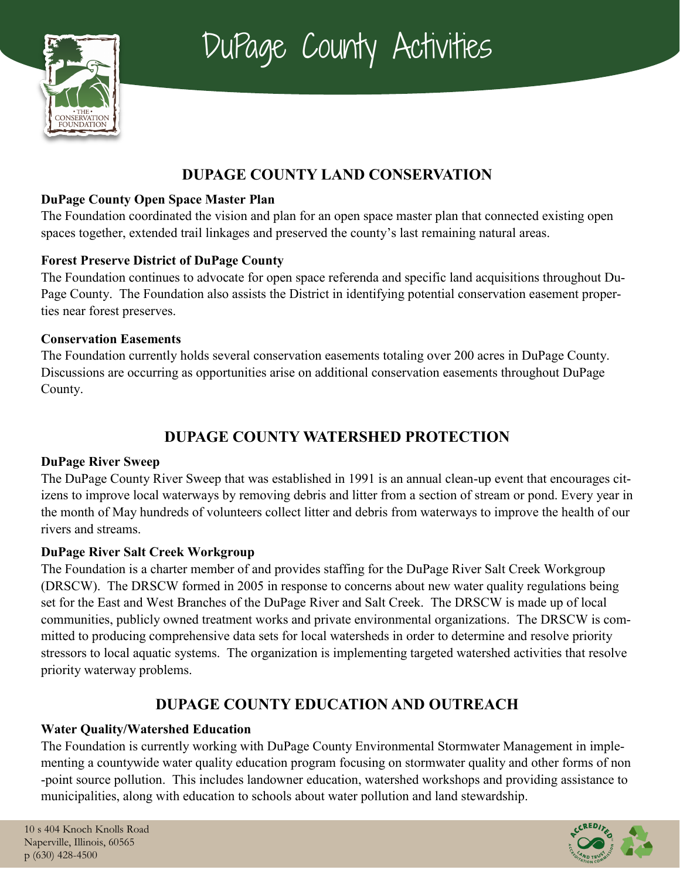

DuPage County Activities

# **DUPAGE COUNTY LAND CONSERVATION**

## **DuPage County Open Space Master Plan**

The Foundation coordinated the vision and plan for an open space master plan that connected existing open spaces together, extended trail linkages and preserved the county's last remaining natural areas.

## **Forest Preserve District of DuPage County**

The Foundation continues to advocate for open space referenda and specific land acquisitions throughout Du-Page County. The Foundation also assists the District in identifying potential conservation easement properties near forest preserves.

## **Conservation Easements**

The Foundation currently holds several conservation easements totaling over 200 acres in DuPage County. Discussions are occurring as opportunities arise on additional conservation easements throughout DuPage County.

## **DUPAGE COUNTY WATERSHED PROTECTION**

## **DuPage River Sweep**

The DuPage County River Sweep that was established in 1991 is an annual clean-up event that encourages citizens to improve local waterways by removing debris and litter from a section of stream or pond. Every year in the month of May hundreds of volunteers collect litter and debris from waterways to improve the health of our rivers and streams.

## **DuPage River Salt Creek Workgroup**

The Foundation is a charter member of and provides staffing for the DuPage River Salt Creek Workgroup (DRSCW). The DRSCW formed in 2005 in response to concerns about new water quality regulations being set for the East and West Branches of the DuPage River and Salt Creek. The DRSCW is made up of local communities, publicly owned treatment works and private environmental organizations. The DRSCW is committed to producing comprehensive data sets for local watersheds in order to determine and resolve priority stressors to local aquatic systems. The organization is implementing targeted watershed activities that resolve priority waterway problems.

## **DUPAGE COUNTY EDUCATION AND OUTREACH**

## **Water Quality/Watershed Education**

The Foundation is currently working with DuPage County Environmental Stormwater Management in implementing a countywide water quality education program focusing on stormwater quality and other forms of non -point source pollution. This includes landowner education, watershed workshops and providing assistance to municipalities, along with education to schools about water pollution and land stewardship.